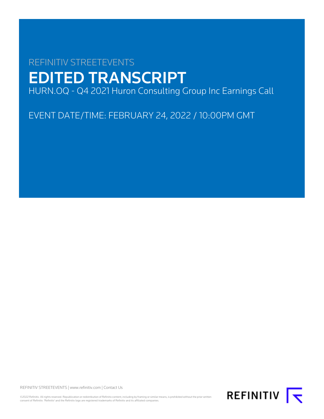# REFINITIV STREETEVENTS EDITED TRANSCRIPT HURN.OQ - Q4 2021 Huron Consulting Group Inc Earnings Call

EVENT DATE/TIME: FEBRUARY 24, 2022 / 10:00PM GMT

REFINITIV STREETEVENTS | [www.refinitiv.com](https://www.refinitiv.com/) | [Contact Us](https://www.refinitiv.com/en/contact-us)

©2022 Refinitiv. All rights reserved. Republication or redistribution of Refinitiv content, including by framing or similar means, is prohibited without the prior written<br>consent of Refinitiv. 'Refinitiv' and the Refinitiv

REFINITIV **K**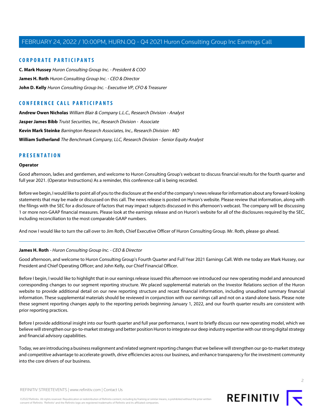# **CORPORATE PARTICIPANTS**

**[C. Mark Hussey](#page-3-0)** Huron Consulting Group Inc. - President & COO **[James H. Roth](#page-1-0)** Huron Consulting Group Inc. - CEO & Director **[John D. Kelly](#page-4-0)** Huron Consulting Group Inc. - Executive VP, CFO & Treasurer

# **CONFERENCE CALL PARTICIPANTS**

**[Andrew Owen Nicholas](#page-9-0)** William Blair & Company L.L.C., Research Division - Analyst **[Jasper James Bibb](#page-10-0)** Truist Securities, Inc., Research Division - Associate **[Kevin Mark Steinke](#page-13-0)** Barrington Research Associates, Inc., Research Division - MD **[William Sutherland](#page-11-0)** The Benchmark Company, LLC, Research Division - Senior Equity Analyst

# **PRESENTATION**

### **Operator**

Good afternoon, ladies and gentlemen, and welcome to Huron Consulting Group's webcast to discuss financial results for the fourth quarter and full year 2021. (Operator Instructions) As a reminder, this conference call is being recorded.

Before we begin, I would like to point all of you to the disclosure at the end of the company's news release for information about any forward-looking statements that may be made or discussed on this call. The news release is posted on Huron's website. Please review that information, along with the filings with the SEC for a disclosure of factors that may impact subjects discussed in this afternoon's webcast. The company will be discussing 1 or more non-GAAP financial measures. Please look at the earnings release and on Huron's website for all of the disclosures required by the SEC, including reconciliation to the most comparable GAAP numbers.

<span id="page-1-0"></span>And now I would like to turn the call over to Jim Roth, Chief Executive Officer of Huron Consulting Group. Mr. Roth, please go ahead.

### **James H. Roth** - Huron Consulting Group Inc. - CEO & Director

Good afternoon, and welcome to Huron Consulting Group's Fourth Quarter and Full Year 2021 Earnings Call. With me today are Mark Hussey, our President and Chief Operating Officer; and John Kelly, our Chief Financial Officer.

Before I begin, I would like to highlight that in our earnings release issued this afternoon we introduced our new operating model and announced corresponding changes to our segment reporting structure. We placed supplemental materials on the Investor Relations section of the Huron website to provide additional detail on our new reporting structure and recast financial information, including unaudited summary financial information. These supplemental materials should be reviewed in conjunction with our earnings call and not on a stand-alone basis. Please note these segment reporting changes apply to the reporting periods beginning January 1, 2022, and our fourth quarter results are consistent with prior reporting practices.

Before I provide additional insight into our fourth quarter and full year performance, I want to briefly discuss our new operating model, which we believe will strengthen our go-to-market strategy and better position Huron to integrate our deep industry expertise with our strong digital strategy and financial advisory capabilities.

Today, we are introducing a business realignment and related segment reporting changes that we believe will strengthen our go-to-market strategy and competitive advantage to accelerate growth, drive efficiencies across our business, and enhance transparency for the investment community into the core drivers of our business.

 $\overline{2}$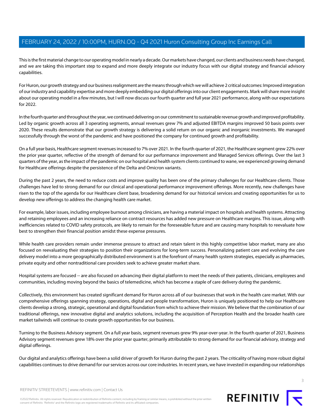This is the first material change to our operating model in nearly a decade. Our markets have changed, our clients and business needs have changed, and we are taking this important step to expand and more deeply integrate our industry focus with our digital strategy and financial advisory capabilities.

For Huron, our growth strategy and our business realignment are the means through which we will achieve 2 critical outcomes: Improved integration of our industry and capability expertise and more deeply embedding our digital offerings into our client engagements. Mark will share more insight about our operating model in a few minutes, but I will now discuss our fourth quarter and full year 2021 performance, along with our expectations for 2022.

In the fourth quarter and throughout the year, we continued delivering on our commitment to sustainable revenue growth and improved profitability. Led by organic growth across all 3 operating segments, annual revenues grew 7% and adjusted EBITDA margins improved 50 basis points over 2020. These results demonstrate that our growth strategy is delivering a solid return on our organic and inorganic investments. We managed successfully through the worst of the pandemic and have positioned the company for continued growth and profitability.

On a full year basis, Healthcare segment revenues increased to 7% over 2021. In the fourth quarter of 2021, the Healthcare segment grew 22% over the prior year quarter, reflective of the strength of demand for our performance improvement and Managed Services offerings. Over the last 3 quarters of the year, as the impact of the pandemic on our hospital and health system clients continued to wane, we experienced growing demand for Healthcare offerings despite the persistence of the Delta and Omicron variants.

During the past 2 years, the need to reduce costs and improve quality has been one of the primary challenges for our Healthcare clients. Those challenges have led to strong demand for our clinical and operational performance improvement offerings. More recently, new challenges have risen to the top of the agenda for our Healthcare client base, broadening demand for our historical services and creating opportunities for us to develop new offerings to address the changing health care market.

For example, labor issues, including employee burnout among clinicians, are having a material impact on hospitals and health systems. Attracting and retaining employees and an increasing reliance on contract resources has added new pressure on Healthcare margins. This issue, along with inefficiencies related to COVID safety protocols, are likely to remain for the foreseeable future and are causing many hospitals to reevaluate how best to strengthen their financial position amidst these expense pressures.

While health care providers remain under immense pressure to attract and retain talent in this highly competitive labor market, many are also focused on reevaluating their strategies to position their organizations for long-term success. Personalizing patient care and evolving the care delivery model into a more geographically distributed environment is at the forefront of many health system strategies, especially as pharmacies, private equity and other nontraditional care providers seek to achieve greater market share.

Hospital systems are focused -- are also focused on advancing their digital platform to meet the needs of their patients, clinicians, employees and communities, including moving beyond the basics of telemedicine, which has become a staple of care delivery during the pandemic.

Collectively, this environment has created significant demand for Huron across all of our businesses that work in the health care market. With our comprehensive offerings spanning strategy, operations, digital and people transformation, Huron is uniquely positioned to help our Healthcare clients develop a strong, strategic, operational and digital foundation from which to achieve their mission. We believe that the combination of our traditional offerings, new innovative digital and analytics solutions, including the acquisition of Perception Health and the broader health care market tailwinds will continue to create growth opportunities for our business.

Turning to the Business Advisory segment. On a full year basis, segment revenues grew 9% year-over-year. In the fourth quarter of 2021, Business Advisory segment revenues grew 18% over the prior year quarter, primarily attributable to strong demand for our financial advisory, strategy and digital offerings.

Our digital and analytics offerings have been a solid driver of growth for Huron during the past 2 years. The criticality of having more robust digital capabilities continues to drive demand for our services across our core industries. In recent years, we have invested in expanding our relationships

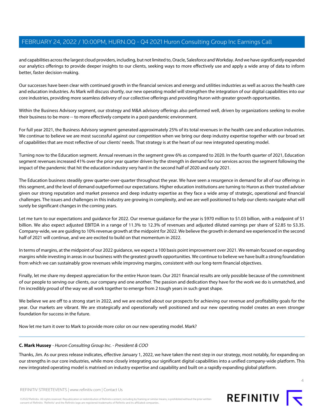and capabilities across the largest cloud providers, including, but not limited to, Oracle, Salesforce and Workday. And we have significantly expanded our analytics offerings to provide deeper insights to our clients, seeking ways to more effectively use and apply a wide array of data to inform better, faster decision-making.

Our successes have been clear with continued growth in the financial services and energy and utilities industries as well as across the health care and education industries. As Mark will discuss shortly, our new operating model will strengthen the integration of our digital capabilities into our core industries, providing more seamless delivery of our collective offerings and providing Huron with greater growth opportunities.

Within the Business Advisory segment, our strategy and M&A advisory offerings also performed well, driven by organizations seeking to evolve their business to be more -- to more effectively compete in a post-pandemic environment.

For full year 2021, the Business Advisory segment generated approximately 25% of its total revenues in the health care and education industries. We continue to believe we are most successful against our competition when we bring our deep industry expertise together with our broad set of capabilities that are most reflective of our clients' needs. That strategy is at the heart of our new integrated operating model.

Turning now to the Education segment. Annual revenues in the segment grew 6% as compared to 2020. In the fourth quarter of 2021, Education segment revenues increased 41% over the prior year quarter driven by the strength in demand for our services across the segment following the impact of the pandemic that hit the education industry very hard in the second half of 2020 and early 2021.

The Education business steadily grew quarter-over-quarter throughout the year. We have seen a resurgence in demand for all of our offerings in this segment, and the level of demand outperformed our expectations. Higher education institutions are turning to Huron as their trusted adviser given our strong reputation and market presence and deep industry expertise as they face a wide array of strategic, operational and financial challenges. The issues and challenges in this industry are growing in complexity, and we are well positioned to help our clients navigate what will surely be significant changes in the coming years.

Let me turn to our expectations and guidance for 2022. Our revenue guidance for the year is \$970 million to \$1.03 billion, with a midpoint of \$1 billion. We also expect adjusted EBITDA in a range of 11.3% to 12.3% of revenues and adjusted diluted earnings per share of \$2.85 to \$3.35. Company-wide, we are guiding to 10% revenue growth at the midpoint for 2022. We believe the growth in demand we experienced in the second half of 2021 will continue, and we are excited to build on that momentum in 2022.

In terms of margins, at the midpoint of our 2022 guidance, we expect a 100 basis point improvement over 2021. We remain focused on expanding margins while investing in areas in our business with the greatest growth opportunities. We continue to believe we have built a strong foundation from which we can sustainably grow revenues while improving margins, consistent with our long-term financial objectives.

Finally, let me share my deepest appreciation for the entire Huron team. Our 2021 financial results are only possible because of the commitment of our people to serving our clients, our company and one another. The passion and dedication they have for the work we do is unmatched, and I'm incredibly proud of the way we all work together to emerge from 2 tough years in such great shape.

<span id="page-3-0"></span>We believe we are off to a strong start in 2022, and we are excited about our prospects for achieving our revenue and profitability goals for the year. Our markets are vibrant. We are strategically and operationally well positioned and our new operating model creates an even stronger foundation for success in the future.

Now let me turn it over to Mark to provide more color on our new operating model. Mark?

### **C. Mark Hussey** - Huron Consulting Group Inc. - President & COO

Thanks, Jim. As our press release indicates, effective January 1, 2022, we have taken the next step in our strategy, most notably, for expanding on our strengths in our core industries, while more closely integrating our significant digital capabilities into a unified company-wide platform. This new integrated operating model is matrixed on industry expertise and capability and built on a rapidly expanding global platform.

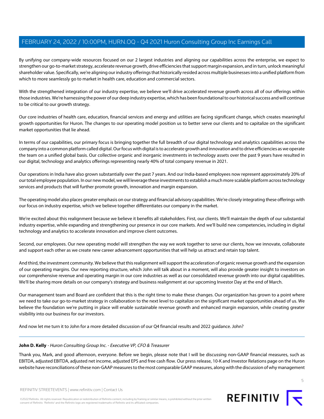By unifying our company-wide resources focused on our 2 largest industries and aligning our capabilities across the enterprise, we expect to strengthen our go-to-market strategy, accelerate revenue growth, drive efficiencies that support margin expansion, and in turn, unlock meaningful shareholder value. Specifically, we're aligning our industry offerings that historically resided across multiple businesses into a unified platform from which to more seamlessly go to market in health care, education and commercial sectors.

With the strengthened integration of our industry expertise, we believe we'll drive accelerated revenue growth across all of our offerings within those industries. We're harnessing the power of our deep industry expertise, which has been foundational to our historical success and will continue to be critical to our growth strategy.

Our core industries of health care, education, financial services and energy and utilities are facing significant change, which creates meaningful growth opportunities for Huron. The changes to our operating model position us to better serve our clients and to capitalize on the significant market opportunities that lie ahead.

In terms of our capabilities, our primary focus is bringing together the full breadth of our digital technology and analytics capabilities across the company into a common platform called digital. Our focus with digital is to accelerate growth and innovation and to drive efficiencies as we operate the team on a unified global basis. Our collective organic and inorganic investments in technology assets over the past 9 years have resulted in our digital, technology and analytics offerings representing nearly 40% of total company revenue in 2021.

Our operations in India have also grown substantially over the past 7 years. And our India-based employees now represent approximately 20% of our total employee population. In our new model, we will leverage these investments to establish a much more scalable platform across technology services and products that will further promote growth, innovation and margin expansion.

The operating model also places greater emphasis on our strategy and financial advisory capabilities. We're closely integrating these offerings with our focus on industry expertise, which we believe together differentiates our company in the market.

We're excited about this realignment because we believe it benefits all stakeholders. First, our clients. We'll maintain the depth of our substantial industry expertise, while expanding and strengthening our presence in our core markets. And we'll build new competencies, including in digital technology and analytics to accelerate innovation and improve client outcomes.

Second, our employees. Our new operating model will strengthen the way we work together to serve our clients, how we innovate, collaborate and support each other as we create new career advancement opportunities that will help us attract and retain top talent.

And third, the investment community. We believe that this realignment will support the acceleration of organic revenue growth and the expansion of our operating margins. Our new reporting structure, which John will talk about in a moment, will also provide greater insight to investors on our comprehensive revenue and operating margin in our core industries as well as our consolidated revenue growth into our digital capabilities. We'll be sharing more details on our company's strategy and business realignment at our upcoming Investor Day at the end of March.

Our management team and Board are confident that this is the right time to make these changes. Our organization has grown to a point where we need to take our go-to-market strategy in collaboration to the next level to capitalize on the significant market opportunities ahead of us. We believe the foundation we're putting in place will enable sustainable revenue growth and enhanced margin expansion, while creating greater visibility into our business for our investors.

<span id="page-4-0"></span>And now let me turn it to John for a more detailed discussion of our Q4 financial results and 2022 guidance. John?

### **John D. Kelly** - Huron Consulting Group Inc. - Executive VP, CFO & Treasurer

Thank you, Mark, and good afternoon, everyone. Before we begin, please note that I will be discussing non-GAAP financial measures, such as EBITDA, adjusted EBITDA, adjusted net income, adjusted EPS and free cash flow. Our press release, 10-K and Investor Relations page on the Huron website have reconciliations of these non-GAAP measures to the most comparable GAAP measures, along with the discussion of why management

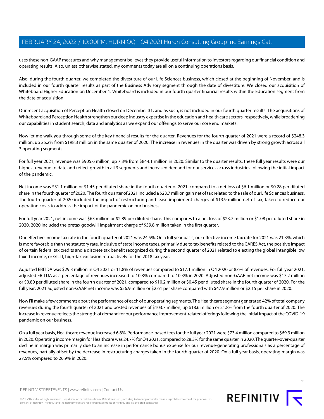uses these non-GAAP measures and why management believes they provide useful information to investors regarding our financial condition and operating results. Also, unless otherwise stated, my comments today are all on a continuing operations basis.

Also, during the fourth quarter, we completed the divestiture of our Life Sciences business, which closed at the beginning of November, and is included in our fourth quarter results as part of the Business Advisory segment through the date of divestiture. We closed our acquisition of Whiteboard Higher Education on December 1. Whiteboard is included in our fourth quarter financial results within the Education segment from the date of acquisition.

Our recent acquisition of Perception Health closed on December 31, and as such, is not included in our fourth quarter results. The acquisitions of Whiteboard and Perception Health strengthen our deep industry expertise in the education and health care sectors, respectively, while broadening our capabilities in student search, data and analytics as we expand our offerings to serve our core end markets.

Now let me walk you through some of the key financial results for the quarter. Revenues for the fourth quarter of 2021 were a record of \$248.3 million, up 25.2% from \$198.3 million in the same quarter of 2020. The increase in revenues in the quarter was driven by strong growth across all 3 operating segments.

For full year 2021, revenue was \$905.6 million, up 7.3% from \$844.1 million in 2020. Similar to the quarter results, these full year results were our highest revenue to date and reflect growth in all 3 segments and increased demand for our services across industries following the initial impact of the pandemic.

Net income was \$31.1 million or \$1.45 per diluted share in the fourth quarter of 2021, compared to a net loss of \$6.1 million or \$0.28 per diluted share in the fourth quarter of 2020. The fourth quarter of 2021 included a \$23.7 million gain net of tax related to the sale of our Life Sciences business. The fourth quarter of 2020 included the impact of restructuring and lease impairment charges of \$13.9 million net of tax, taken to reduce our operating costs to address the impact of the pandemic on our business.

For full year 2021, net income was \$63 million or \$2.89 per diluted share. This compares to a net loss of \$23.7 million or \$1.08 per diluted share in 2020. 2020 included the pretax goodwill impairment charge of \$59.8 million taken in the first quarter.

Our effective income tax rate in the fourth quarter of 2021 was 24.5%. On a full year basis, our effective income tax rate for 2021 was 21.3%, which is more favorable than the statutory rate, inclusive of state income taxes, primarily due to tax benefits related to the CARES Act, the positive impact of certain federal tax credits and a discrete tax benefit recognized during the second quarter of 2021 related to electing the global intangible low taxed income, or GILTI, high-tax exclusion retroactively for the 2018 tax year.

Adjusted EBITDA was \$29.3 million in Q4 2021 or 11.8% of revenues compared to \$17.1 million in Q4 2020 or 8.6% of revenues. For full year 2021, adjusted EBITDA as a percentage of revenues increased to 10.8% compared to 10.3% in 2020. Adjusted non-GAAP net income was \$17.2 million or \$0.80 per diluted share in the fourth quarter of 2021, compared to \$10.2 million or \$0.45 per diluted share in the fourth quarter of 2020. For the full year, 2021 adjusted non-GAAP net income was \$56.9 million or \$2.61 per share compared with \$47.9 million or \$2.15 per share in 2020.

Now I'll make a few comments about the performance of each of our operating segments. The Healthcare segment generated 42% of total company revenues during the fourth quarter of 2021 and posted revenues of \$103.7 million, up \$18.6 million or 21.8% from the fourth quarter of 2020. The increase in revenue reflects the strength of demand for our performance improvement-related offerings following the initial impact of the COVID-19 pandemic on our business.

On a full year basis, Healthcare revenue increased 6.8%. Performance-based fees for the full year 2021 were \$73.4 million compared to \$69.3 million in 2020. Operating income margin for Healthcare was 24.7% for Q4 2021, compared to 28.3% for the same quarter in 2020. The quarter-over-quarter decline in margin was primarily due to an increase in performance bonus expense for our revenue-generating professionals as a percentage of revenues, partially offset by the decrease in restructuring charges taken in the fourth quarter of 2020. On a full year basis, operating margin was 27.5% compared to 26.9% in 2020.

REFINITIV STREETEVENTS | [www.refinitiv.com](https://www.refinitiv.com/) | [Contact Us](https://www.refinitiv.com/en/contact-us)

©2022 Refinitiv. All rights reserved. Republication or redistribution of Refinitiv content, including by framing or similar means, is prohibited without the prior written consent of Refinitiv. 'Refinitiv' and the Refinitiv logo are registered trademarks of Refinitiv and its affiliated companies.



REFINITIV<sub>I</sub>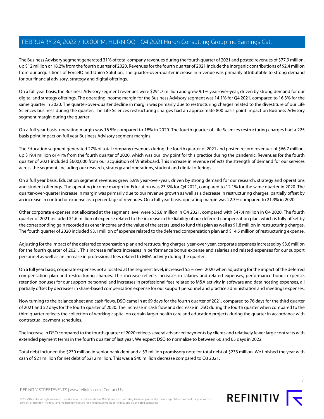The Business Advisory segment generated 31% of total company revenues during the fourth quarter of 2021 and posted revenues of \$77.9 million, up \$12 million or 18.2% from the fourth quarter of 2020. Revenues for the fourth quarter of 2021 include the inorganic contributions of \$2.4 million from our acquisitions of ForceIQ and Unico Solution. The quarter-over-quarter increase in revenue was primarily attributable to strong demand for our financial advisory, strategy and digital offerings.

On a full year basis, the Business Advisory segment revenues were \$291.7 million and grew 9.1% year-over-year, driven by strong demand for our digital and strategy offerings. The operating income margin for the Business Advisory segment was 14.1% for Q4 2021, compared to 16.3% for the same quarter in 2020. The quarter-over-quarter decline in margin was primarily due to restructuring charges related to the divestiture of our Life Sciences business during the quarter. The Life Sciences restructuring charges had an approximate 800 basis point impact on Business Advisory segment margin during the quarter.

On a full year basis, operating margin was 16.5% compared to 18% in 2020. The fourth quarter of Life Sciences restructuring charges had a 225 basis point impact on full year Business Advisory segment margins.

The Education segment generated 27% of total company revenues during the fourth quarter of 2021 and posted record revenues of \$66.7 million, up \$19.4 million or 41% from the fourth quarter of 2020, which was our low point for this practice during the pandemic. Revenues for the fourth quarter of 2021 included \$600,000 from our acquisition of Whiteboard. This increase in revenue reflects the strength of demand for our services across the segment, including our research, strategy and operations, student and digital offerings.

On a full year basis, Education segment revenues grew 5.9% year-over-year, driven by strong demand for our research, strategy and operations and student offerings. The operating income margin for Education was 23.3% for Q4 2021, compared to 12.1% for the same quarter in 2020. The quarter-over-quarter increase in margin was primarily due to our revenue growth as well as a decrease in restructuring charges, partially offset by an increase in contractor expense as a percentage of revenues. On a full year basis, operating margin was 22.3% compared to 21.3% in 2020.

Other corporate expenses not allocated at the segment level were \$36.8 million in Q4 2021, compared with \$47.4 million in Q4 2020. The fourth quarter of 2021 included \$1.6 million of expense related to the increase in the liability of our deferred compensation plan, which is fully offset by the corresponding gain recorded as other income and the value of the assets used to fund this plan as well as \$1.8 million in restructuring charges. The fourth quarter of 2020 included \$3.1 million of expense related to the deferred compensation plan and \$14.5 million of restructuring expense.

Adjusting for the impact of the deferred compensation plan and restructuring charges, year-over-year, corporate expenses increased by \$3.6 million for the fourth quarter of 2021. This increase reflects increases in performance bonus expense and salaries and related expenses for our support personnel as well as an increase in professional fees related to M&A activity during the quarter.

On a full year basis, corporate expenses not allocated at the segment level, increased 5.5% over 2020 when adjusting for the impact of the deferred compensation plan and restructuring charges. This increase reflects increases in salaries and related expenses, performance bonus expense, retention bonuses for our support personnel and increases in professional fees related to M&A activity in software and data hosting expenses, all partially offset by decreases in share-based compensation expense for our support personnel and practice administration and meetings expenses.

Now turning to the balance sheet and cash flows. DSO came in at 69 days for the fourth quarter of 2021, compared to 76 days for the third quarter of 2021 and 52 days for the fourth quarter of 2020. The increase in cash flow and decrease in DSO during the fourth quarter when compared to the third quarter reflects the collection of working capital on certain larger health care and education projects during the quarter in accordance with contractual payment schedules.

The increase in DSO compared to the fourth quarter of 2020 reflects several advanced payments by clients and relatively fewer large contracts with extended payment terms in the fourth quarter of last year. We expect DSO to normalize to between 60 and 65 days in 2022.

Total debt included the \$230 million in senior bank debt and a \$3 million promissory note for total debt of \$233 million. We finished the year with cash of \$21 million for net debt of \$212 million. This was a \$40 million decrease compared to Q3 2021.



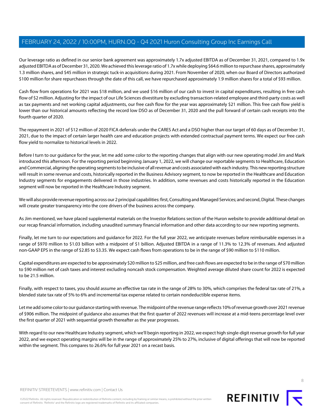Our leverage ratio as defined in our senior bank agreement was approximately 1.7x adjusted EBITDA as of December 31, 2021, compared to 1.9x adjusted EBITDA as of December 31, 2020. We achieved this leverage ratio of 1.7x while deploying \$64.6 million to repurchase shares, approximately 1.3 million shares, and \$45 million in strategic tuck-in acquisitions during 2021. From November of 2020, when our Board of Directors authorized \$100 million for share repurchases through the date of this call, we have repurchased approximately 1.9 million shares for a total of \$93 million.

Cash flow from operations for 2021 was \$18 million, and we used \$16 million of our cash to invest in capital expenditures, resulting in free cash flow of \$2 million. Adjusting for the impact of our Life Sciences divestiture by excluding transaction-related employee and third-party costs as well as tax payments and net working capital adjustments, our free cash flow for the year was approximately \$21 million. This free cash flow yield is lower than our historical amounts reflecting the record low DSO as of December 31, 2020 and the pull forward of certain cash receipts into the fourth quarter of 2020.

The repayment in 2021 of \$12 million of 2020 FICA deferrals under the CARES Act and a DSO higher than our target of 60 days as of December 31, 2021, due to the impact of certain larger health care and education projects with extended contractual payment terms. We expect our free cash flow yield to normalize to historical levels in 2022.

Before I turn to our guidance for the year, let me add some color to the reporting changes that align with our new operating model Jim and Mark introduced this afternoon. For the reporting period beginning January 1, 2022, we will change our reportable segments to Healthcare, Education and Commercial, aligning the operating segments to be inclusive of all revenue and costs associated with each industry. This new reporting structure will result in some revenue and costs, historically reported in the Business Advisory segment, to now be reported in the Healthcare and Education Industry segments for engagements delivered in those industries. In addition, some revenues and costs historically reported in the Education segment will now be reported in the Healthcare Industry segment.

We will also provide revenue reporting across our 2 principal capabilities: first, Consulting and Managed Services; and second, Digital. These changes will create greater transparency into the core drivers of the business across the company.

As Jim mentioned, we have placed supplemental materials on the Investor Relations section of the Huron website to provide additional detail on our recap financial information, including unaudited summary financial information and other data according to our new reporting segments.

Finally, let me turn to our expectations and guidance for 2022. For the full year 2022, we anticipate revenues before reimbursable expenses in a range of \$970 million to \$1.03 billion with a midpoint of \$1 billion. Adjusted EBITDA in a range of 11.3% to 12.3% of revenues. And adjusted non-GAAP EPS in the range of \$2.85 to \$3.35. We expect cash flows from operations to be in the range of \$90 million to \$110 million.

Capital expenditures are expected to be approximately \$20 million to \$25 million, and free cash flows are expected to be in the range of \$70 million to \$90 million net of cash taxes and interest excluding noncash stock compensation. Weighted average diluted share count for 2022 is expected to be 21.5 million.

Finally, with respect to taxes, you should assume an effective tax rate in the range of 28% to 30%, which comprises the federal tax rate of 21%, a blended state tax rate of 5% to 6% and incremental tax expense related to certain nondeductible expense items.

Let me add some color to our guidance starting with revenue. The midpoint of the revenue range reflects 10% of revenue growth over 2021 revenue of \$906 million. The midpoint of guidance also assumes that the first quarter of 2022 revenues will increase at a mid-teens percentage level over the first quarter of 2021 with sequential growth thereafter as the year progresses.

With regard to our new Healthcare Industry segment, which we'll begin reporting in 2022, we expect high single-digit revenue growth for full year 2022, and we expect operating margins will be in the range of approximately 25% to 27%, inclusive of digital offerings that will now be reported within the segment. This compares to 26.6% for full year 2021 on a recast basis.

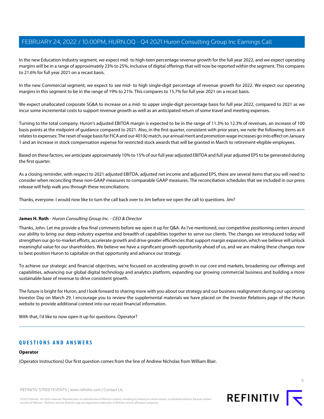In the new Education Industry segment, we expect mid- to high-teen percentage revenue growth for the full year 2022, and we expect operating margins will be in a range of approximately 23% to 25%, inclusive of digital offerings that will now be reported within the segment. This compares to 21.6% for full year 2021 on a recast basis.

In the new Commercial segment, we expect to see mid- to high single-digit percentage of revenue growth for 2022. We expect our operating margins in this segment to be in the range of 19% to 21%. This compares to 15.7% for full year 2021 on a recast basis.

We expect unallocated corporate SG&A to increase on a mid- to upper single-digit percentage basis for full year 2022, compared to 2021 as we incur some incremental costs to support revenue growth as well as an anticipated return of some travel and meeting expenses.

Turning to the total company. Huron's adjusted EBITDA margin is expected to be in the range of 11.3% to 12.3% of revenues, an increase of 100 basis points at the midpoint of guidance compared to 2021. Also, in the first quarter, consistent with prior years, we note the following items as it relates to expenses: The reset of wage basis for FICA and our 401(k) match, our annual merit and promotion wage increases go into effect on January 1 and an increase in stock compensation expense for restricted stock awards that will be granted in March to retirement-eligible employees.

Based on these factors, we anticipate approximately 10% to 15% of our full year adjusted EBITDA and full year adjusted EPS to be generated during the first quarter.

As a closing reminder, with respect to 2021 adjusted EBITDA, adjusted net income and adjusted EPS, there are several items that you will need to consider when reconciling these non-GAAP measures to comparable GAAP measures. The reconciliation schedules that we included in our press release will help walk you through these reconciliations.

Thanks, everyone. I would now like to turn the call back over to Jim before we open the call to questions. Jim?

### **James H. Roth** - Huron Consulting Group Inc. - CEO & Director

Thanks, John. Let me provide a few final comments before we open it up for Q&A. As I've mentioned, our competitive positioning centers around our ability to bring our deep industry expertise and breadth of capabilities together to serve our clients. The changes we introduced today will strengthen our go-to-market efforts, accelerate growth and drive greater efficiencies that support margin expansion, which we believe will unlock meaningful value for our shareholders. We believe we have a significant growth opportunity ahead of us, and we are making these changes now to best position Huron to capitalize on that opportunity and advance our strategy.

To achieve our strategic and financial objectives, we're focused on accelerating growth in our core end markets, broadening our offerings and capabilities, advancing our global digital technology and analytics platform, expanding our growing commercial business and building a more sustainable base of revenue to drive consistent growth.

The future is bright for Huron, and I look forward to sharing more with you about our strategy and our business realignment during our upcoming Investor Day on March 29. I encourage you to review the supplemental materials we have placed on the Investor Relations page of the Huron website to provide additional context into our recast financial information.

With that, I'd like to now open it up for questions. Operator?

# **QUESTIONS AND ANSWERS**

### **Operator**

(Operator Instructions) Our first question comes from the line of Andrew Nicholas from William Blair.



©2022 Refinitiv. All rights reserved. Republication or redistribution of Refinitiv content, including by framing or similar means, is prohibited without the prior written consent of Refinitiv. 'Refinitiv' and the Refinitiv logo are registered trademarks of Refinitiv and its affiliated companies.

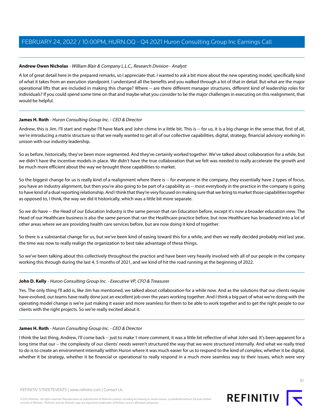### <span id="page-9-0"></span>**Andrew Owen Nicholas** - William Blair & Company L.L.C., Research Division - Analyst

A lot of great detail here in the prepared remarks, so I appreciate that. I wanted to ask a bit more about the new operating model, specifically kind of what it takes from an execution standpoint. I understand all the benefits and you walked through a lot of that in detail. But what are the major operational lifts that are included in making this change? Where -- are there different manager structures, different kind of leadership roles for individuals? If you could spend some time on that and maybe what you consider to be the major challenges in executing on this realignment, that would be helpful.

### **James H. Roth** - Huron Consulting Group Inc. - CEO & Director

Andrew, this is Jim. I'll start and maybe I'll have Mark and John chime in a little bit. This is -- for us, it is a big change in the sense that, first of all, we're introducing a matrix structure so that we really wanted to get all of our collective capabilities, digital, strategy, financial advisory working in unison with our industry leadership.

So as before, historically, they've been more segmented. And they've certainly worked together. We've talked about collaboration for a while, but we didn't have the incentive models in place. We didn't have the true collaboration that we felt was needed to really accelerate the growth and be much more efficient about the way we brought those capabilities to market.

So the biggest change for us is really kind of a realignment where there is -- for everyone in the company, they essentially have 2 types of focus, you have an industry alignment, but then you're also going to be part of a capability as -- most everybody in the practice in the company is going to have kind of a dual reporting relationship. And I think that they're very focused on making sure that we bring to market those capabilities together as opposed to, I think, the way we did it historically, which was a little bit more separate.

So we do have -- the Head of our Education Industry is the same person that ran Education before, except it's now a broader education view. The Head of our Healthcare business is also the same person that ran the Healthcare practice before, but now Healthcare has broadened into a lot of other areas where we are providing health care services before, but are now doing it kind of together.

So there is a substantial change for us, but we've been kind of easing toward this for a while, and then we really decided probably mid last year, the time was now to really realign the organization to best take advantage of these things.

So we've been talking about this collectively throughout the practice and have been very heavily involved with all of our people in the company working this through during the last 4, 5 months of 2021, and we kind of hit the road running at the beginning of 2022.

### **John D. Kelly** - Huron Consulting Group Inc. - Executive VP, CFO & Treasurer

Yes. The only thing I'll add is, like Jim has mentioned, we talked about collaboration for a while now. And as the solutions that our clients require have evolved, our teams have really done just an excellent job over the years working together. And I think a big part of what we're doing with the operating model change is we're just making it easier and more seamless for them to be able to work together and to get the right people to our clients with the right projects. So we're really excited about it.

### **James H. Roth** - Huron Consulting Group Inc. - CEO & Director

I think the last thing, Andrew, I'll come back -- just to make 1 more comment, it was a little bit reflective of what John said. It's been apparent for a long time that our -- the complexity of our clients' needs weren't structured the way that we were structured internally. And what we really tried to do is to create an environment internally within Huron where it was much easier for us to respond to the kind of complex, whether it be digital, whether it be strategy, whether it be financial or operational to really respond in a much more seamless way to their issues, which were very

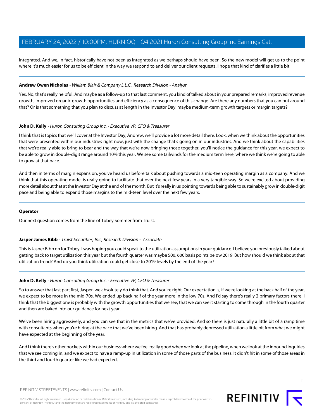integrated. And we, in fact, historically have not been as integrated as we perhaps should have been. So the new model will get us to the point where it's much easier for us to be efficient in the way we respond to and deliver our client requests. I hope that kind of clarifies a little bit.

#### **Andrew Owen Nicholas** - William Blair & Company L.L.C., Research Division - Analyst

Yes. No, that's really helpful. And maybe as a follow-up to that last comment, you kind of talked about in your prepared remarks, improved revenue growth, improved organic growth opportunities and efficiency as a consequence of this change. Are there any numbers that you can put around that? Or is that something that you plan to discuss at length in the Investor Day, maybe medium-term growth targets or margin targets?

#### **John D. Kelly** - Huron Consulting Group Inc. - Executive VP, CFO & Treasurer

I think that is topics that we'll cover at the Investor Day, Andrew, we'll provide a lot more detail there. Look, when we think about the opportunities that were presented within our industries right now, just with the change that's going on in our industries. And we think about the capabilities that we're really able to bring to bear and the way that we're now bringing those together, you'll notice the guidance for this year, we expect to be able to grow in double-digit range around 10% this year. We see some tailwinds for the medium term here, where we think we're going to able to grow at that pace.

And then in terms of margin expansion, you've heard us before talk about pushing towards a mid-teen operating margin as a company. And we think that this operating model is really going to facilitate that over the next few years in a very tangible way. So we're excited about providing more detail about that at the Investor Day at the end of the month. But it's really in us pointing towards being able to sustainably grow in double-digit pace and being able to expand those margins to the mid-teen level over the next few years.

#### <span id="page-10-0"></span>**Operator**

Our next question comes from the line of Tobey Sommer from Truist.

#### **Jasper James Bibb** - Truist Securities, Inc., Research Division - Associate

This is Jasper Bibb on for Tobey. I was hoping you could speak to the utilization assumptions in your guidance. I believe you previously talked about getting back to target utilization this year but the fourth quarter was maybe 500, 600 basis points below 2019. But how should we think about that utilization trend? And do you think utilization could get close to 2019 levels by the end of the year?

#### **John D. Kelly** - Huron Consulting Group Inc. - Executive VP, CFO & Treasurer

So to answer that last part first, Jasper, we absolutely do think that. And you're right. Our expectation is, if we're looking at the back half of the year, we expect to be more in the mid-70s. We ended up back half of the year more in the low 70s. And I'd say there's really 2 primary factors there. I think that the biggest one is probably with the growth opportunities that we see, that we can see it starting to come through in the fourth quarter and then are baked into our guidance for next year.

We've been hiring aggressively, and you can see that in the metrics that we've provided. And so there is just naturally a little bit of a ramp time with consultants when you're hiring at the pace that we've been hiring. And that has probably depressed utilization a little bit from what we might have expected at the beginning of the year.

And I think there's other pockets within our business where we feel really good when we look at the pipeline, when we look at the inbound inquiries that we see coming in, and we expect to have a ramp-up in utilization in some of those parts of the business. It didn't hit in some of those areas in the third and fourth quarter like we had expected.

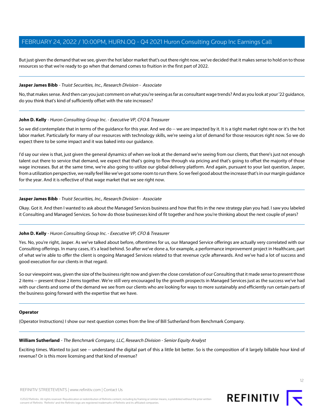But just given the demand that we see, given the hot labor market that's out there right now, we've decided that it makes sense to hold on to those resources so that we're ready to go when that demand comes to fruition in the first part of 2022.

#### **Jasper James Bibb** - Truist Securities, Inc., Research Division - Associate

No, that makes sense. And then can you just comment on what you're seeing as far as consultant wage trends? And as you look at your '22 guidance, do you think that's kind of sufficiently offset with the rate increases?

#### **John D. Kelly** - Huron Consulting Group Inc. - Executive VP, CFO & Treasurer

So we did contemplate that in terms of the quidance for this year. And we do -- we are impacted by it. It is a tight market right now or it's the hot labor market. Particularly for many of our resources with technology skills, we're seeing a lot of demand for those resources right now. So we do expect there to be some impact and it was baked into our guidance.

I'd say our view is that, just given the general dynamics of when we look at the demand we're seeing from our clients, that there's just not enough talent out there to service that demand, we expect that that's going to flow through via pricing and that's going to offset the majority of those wage increases. But at the same time, we're also going to utilize our global delivery platform. And again, pursuant to your last question, Jasper, from a utilization perspective, we really feel like we've got some room to run there. So we feel good about the increase that's in our margin guidance for the year. And it is reflective of that wage market that we see right now.

#### **Jasper James Bibb** - Truist Securities, Inc., Research Division - Associate

Okay. Got it. And then I wanted to ask about the Managed Services business and how that fits in the new strategy plan you had. I saw you labeled it Consulting and Managed Services. So how do those businesses kind of fit together and how you're thinking about the next couple of years?

### **John D. Kelly** - Huron Consulting Group Inc. - Executive VP, CFO & Treasurer

Yes. No, you're right, Jasper. As we've talked about before, oftentimes for us, our Managed Service offerings are actually very correlated with our Consulting offerings. In many cases, it's a lead behind. So after we've done a, for example, a performance improvement project in Healthcare, part of what we're able to offer the client is ongoing Managed Services related to that revenue cycle afterwards. And we've had a lot of success and good execution for our clients in that regard.

So our viewpoint was, given the size of the business right now and given the close correlation of our Consulting that it made sense to present those 2 items -- present those 2 items together. We're still very encouraged by the growth prospects in Managed Services just as the success we've had with our clients and some of the demand we see from our clients who are looking for ways to more sustainably and efficiently run certain parts of the business going forward with the expertise that we have.

#### <span id="page-11-0"></span>**Operator**

(Operator Instructions) I show our next question comes from the line of Bill Sutherland from Benchmark Company.

#### **William Sutherland** - The Benchmark Company, LLC, Research Division - Senior Equity Analyst

Exciting times. Wanted to just see -- understand the digital part of this a little bit better. So is the composition of it largely billable hour kind of revenue? Or is this more licensing and that kind of revenue?

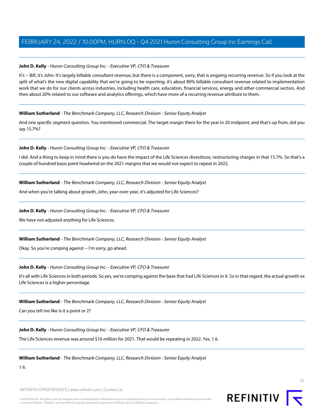### **John D. Kelly** - Huron Consulting Group Inc. - Executive VP, CFO & Treasurer

It's -- Bill, it's John. It's largely billable consultant revenue, but there is a component, sorry, that is ongoing recurring revenue. So if you look at the split of what's the new digital capability that we're going to be reporting, it's about 80% billable consultant revenue related to implementation work that we do for our clients across industries, including health care, education, financial services, energy and other commercial sectors. And then about 20% related to our software and analytics offerings, which have more of a recurring revenue attribute to them.

### **William Sutherland** - The Benchmark Company, LLC, Research Division - Senior Equity Analyst

And one specific segment question. You mentioned commercial. The target margin there for the year in 20 midpoint, and that's up from, did you say 15.7%?

### **John D. Kelly** - Huron Consulting Group Inc. - Executive VP, CFO & Treasurer

I did. And a thing to keep in mind there is you do have the impact of the Life Sciences divestiture, restructuring charges in that 15.7%. So that's a couple of hundred basis point headwind on the 2021 margins that we would not expect to repeat in 2022.

### **William Sutherland** - The Benchmark Company, LLC, Research Division - Senior Equity Analyst

And when you're talking about growth, John, year-over-year, it's adjusted for Life Sciences?

### **John D. Kelly** - Huron Consulting Group Inc. - Executive VP, CFO & Treasurer

We have not adjusted anything for Life Sciences.

### **William Sutherland** - The Benchmark Company, LLC, Research Division - Senior Equity Analyst

Okay. So you're comping against -- I'm sorry, go ahead.

### **John D. Kelly** - Huron Consulting Group Inc. - Executive VP, CFO & Treasurer

It's all with Life Sciences in both periods. So yes, we're comping against the base that had Life Sciences in it. So in that regard, the actual growth ex Life Sciences is a higher percentage.

### **William Sutherland** - The Benchmark Company, LLC, Research Division - Senior Equity Analyst

Can you tell me like is it a point or 2?

### **John D. Kelly** - Huron Consulting Group Inc. - Executive VP, CFO & Treasurer

The Life Sciences revenue was around \$16 million for 2021. That would be repeating in 2022. Yes, 1 6.

### **William Sutherland** - The Benchmark Company, LLC, Research Division - Senior Equity Analyst

1 6.



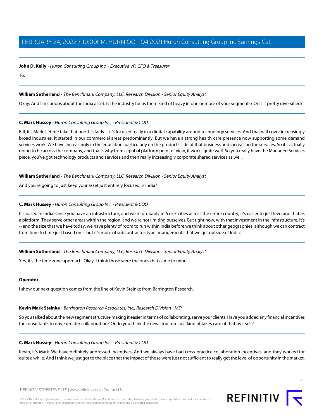**John D. Kelly** - Huron Consulting Group Inc. - Executive VP, CFO & Treasurer

16.

### **William Sutherland** - The Benchmark Company, LLC, Research Division - Senior Equity Analyst

Okay. And I'm curious about the India asset. Is the industry focus there kind of heavy in one or more of your segments? Or is it pretty diversified?

### **C. Mark Hussey** - Huron Consulting Group Inc. - President & COO

Bill, it's Mark. Let me take that one. It's fairly -- it's focused really in a digital capability around technology services. And that will cover increasingly broad industries. It started in our commercial areas predominantly. But we have a strong health care presence now supporting some demand services work. We have increasingly in the education, particularly on the products side of that business and increasing the services. So it's actually going to be across the company, and that's why from a global platform point of view, it works quite well. So you really have the Managed Services piece, you've got technology products and services and then really increasingly corporate shared services as well.

### **William Sutherland** - The Benchmark Company, LLC, Research Division - Senior Equity Analyst

And you're going to just keep your asset just entirely focused in India?

### **C. Mark Hussey** - Huron Consulting Group Inc. - President & COO

It's based in India. Once you have an infrastructure, and we're probably in 6 or 7 cities across the entire country, it's easier to just leverage that as a platform. They serve other areas within the region, and we're not limiting ourselves. But right now, with that investment in the infrastructure, it's -- and the size that we have today, we have plenty of room to run within India before we think about other geographies, although we can contract from time to time just based on -- but it's more of subcontractor-type arrangements that we get outside of India.

### **William Sutherland** - The Benchmark Company, LLC, Research Division - Senior Equity Analyst

Yes, it's the time zone approach. Okay. I think those were the ones that came to mind.

### <span id="page-13-0"></span>**Operator**

I show our next question comes from the line of Kevin Steinke from Barrington Research.

# **Kevin Mark Steinke** - Barrington Research Associates, Inc., Research Division - MD

So you talked about the new segment structure making it easier in terms of collaborating, serve your clients. Have you added any financial incentives for consultants to drive greater collaboration? Or do you think the new structure just kind of takes care of that by itself?

# **C. Mark Hussey** - Huron Consulting Group Inc. - President & COO

Kevin, it's Mark. We have definitely addressed incentives. And we always have had cross-practice collaboration incentives, and they worked for quite a while. And I think we just got to the place that the impact of those were just not sufficient to really get the level of opportunity in the market.



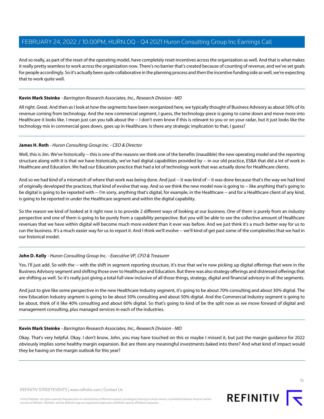And so really, as part of the reset of the operating model, have completely reset incentives across the organization as well. And that is what makes it really pretty seamless to work across the organization now. There's no barrier that's created because of counting of revenue, and we've set goals for people accordingly. So it's actually been quite collaborative in the planning process and then the incentive funding side as well, we're expecting that to work quite well.

#### **Kevin Mark Steinke** - Barrington Research Associates, Inc., Research Division - MD

All right. Great. And then as I look at how the segments have been reorganized here, we typically thought of Business Advisory as about 50% of its revenue coming from technology. And the new commercial segment, I guess, the technology piece is going to come down and move more into Healthcare it looks like. I mean just can you talk about the -- I don't even know if this is relevant to you or on your radar, but it just looks like the technology mix in commercial goes down, goes up in Healthcare. Is there any strategic implication to that, I guess?

#### **James H. Roth** - Huron Consulting Group Inc. - CEO & Director

Well, this is Jim. We've historically -- this is one of the reasons we think one of the benefits (inaudible) the new operating model and the reporting structure along with it is that we have historically, we've had digital capabilities provided by -- in our old practice, ES&A that did a lot of work in Healthcare and Education. We had our Education practice that had a lot of technology work that was actually done for Healthcare clients.

And so we had kind of a mismatch of where that work was being done. And just -- it was kind of -- it was done because that's the way we had kind of originally developed the practices, that kind of evolve that way. And so we think the new model now is going to -- like anything that's going to be digital is going to be reported with -- I'm sorry, anything that's digital, for example, in the Healthcare -- and for a Healthcare client of any kind, is going to be reported in under the Healthcare segment and within the digital capability.

So the reason we kind of looked at it right now is to provide 2 different ways of looking at our business. One of them is purely from an industry perspective and one of them is going to be purely from a capability perspective. But you will be able to see the collective amount of Healthcare revenues that we have within digital will become much more evident than it ever was before. And we just think it's a much better way for us to run the business. It's a much easier way for us to report it. And I think we'll evolve -- we'll kind of get past some of the complexities that we had in our historical model.

### **John D. Kelly** - Huron Consulting Group Inc. - Executive VP, CFO & Treasurer

Yes. I'll just add. So with the -- with the shift in segment reporting structure, it's true that we're now picking up digital offerings that were in the Business Advisory segment and shifting those over to Healthcare and Education. But there was also strategy offerings and distressed offerings that are shifting as well. So it's really just giving a total full view inclusive of all those things, strategy, digital and financial advisory in all the segments.

And just to give like some perspective in the new Healthcare Industry segment, it's going to be about 70% consulting and about 30% digital. The new Education Industry segment is going to be about 50% consulting and about 50% digital. And the Commercial Industry segment is going to be about, think of it like 40% consulting and about 60% digital. So that's going to kind of be the split now as we move forward of digital and management consulting, plus managed services in each of the industries.

#### **Kevin Mark Steinke** - Barrington Research Associates, Inc., Research Division - MD

Okay. That's very helpful. Okay. I don't know, John, you may have touched on this or maybe I missed it, but just the margin guidance for 2022 obviously implies some healthy margin expansion. But are there any meaningful investments baked into there? And what kind of impact would they be having on the margin outlook for this year?

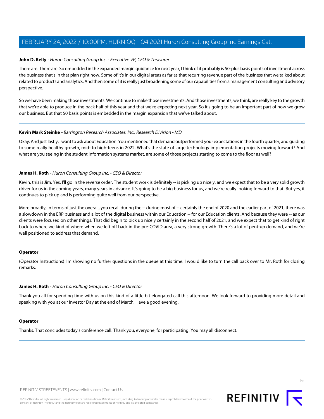#### **John D. Kelly** - Huron Consulting Group Inc. - Executive VP, CFO & Treasurer

There are. There are. So embedded in the expanded margin guidance for next year, I think of it probably is 50-plus basis points of investment across the business that's in that plan right now. Some of it's in our digital areas as far as that recurring revenue part of the business that we talked about related to products and analytics. And then some of it is really just broadening some of our capabilities from a management consulting and advisory perspective.

So we have been making those investments. We continue to make those investments. And those investments, we think, are really key to the growth that we're able to produce in the back half of this year and that we're expecting next year. So it's going to be an important part of how we grow our business. But that 50 basis points is embedded in the margin expansion that we've talked about.

#### **Kevin Mark Steinke** - Barrington Research Associates, Inc., Research Division - MD

Okay. And just lastly, I want to ask about Education. You mentioned that demand outperformed your expectations in the fourth quarter, and guiding to some really healthy growth, mid- to high-teens in 2022. What's the state of large technology implementation projects moving forward? And what are you seeing in the student information systems market, are some of those projects starting to come to the floor as well?

#### **James H. Roth** - Huron Consulting Group Inc. - CEO & Director

Kevin, this is Jim. Yes, I'll go in the reverse order. The student work is definitely -- is picking up nicely, and we expect that to be a very solid growth driver for us in the coming years, many years in advance. It's going to be a big business for us, and we're really looking forward to that. But yes, it continues to pick up and is performing quite well from our perspective.

More broadly, in terms of just the overall, you recall during the -- during most of -- certainly the end of 2020 and the earlier part of 2021, there was a slowdown in the ERP business and a lot of the digital business within our Education -- for our Education clients. And because they were -- as our clients were focused on other things. That did begin to pick up nicely certainly in the second half of 2021, and we expect that to get kind of right back to where we kind of where when we left off back in the pre-COVID area, a very strong growth. There's a lot of pent-up demand, and we're well positioned to address that demand.

#### **Operator**

(Operator Instructions) I'm showing no further questions in the queue at this time. I would like to turn the call back over to Mr. Roth for closing remarks.

#### **James H. Roth** - Huron Consulting Group Inc. - CEO & Director

Thank you all for spending time with us on this kind of a little bit elongated call this afternoon. We look forward to providing more detail and speaking with you at our Investor Day at the end of March. Have a good evening.

#### **Operator**

Thanks. That concludes today's conference call. Thank you, everyone, for participating. You may all disconnect.